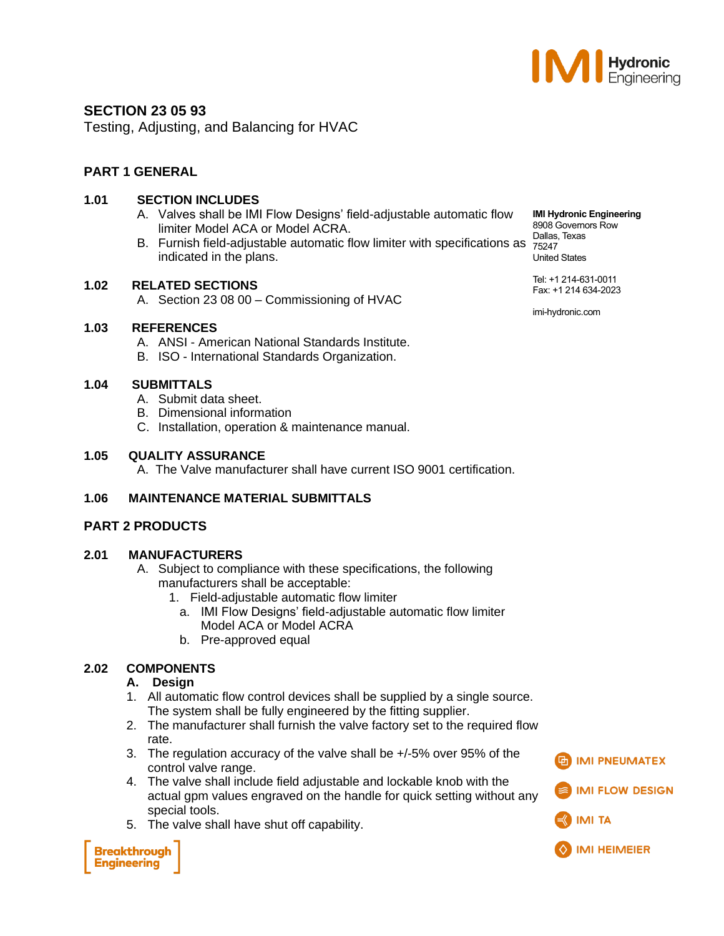

# **SECTION 23 05 93**

Testing, Adjusting, and Balancing for HVAC

# **PART 1 GENERAL**

# **1.01 SECTION INCLUDES**

- A. Valves shall be IMI Flow Designs' field-adjustable automatic flow limiter Model ACA or Model ACRA.
- B. Furnish field-adjustable automatic flow limiter with specifications as  $\frac{5247}{75247}$ indicated in the plans.

#### **1.02 RELATED SECTIONS**

#### **1.03 REFERENCES**

- A. ANSI American National Standards Institute.
- B. ISO International Standards Organization.

#### **1.04 SUBMITTALS**

- A. Submit data sheet.
- B. Dimensional information
- C. Installation, operation & maintenance manual.

#### **1.05 QUALITY ASSURANCE**

A. The Valve manufacturer shall have current ISO 9001 certification.

# **1.06 MAINTENANCE MATERIAL SUBMITTALS**

# **PART 2 PRODUCTS**

#### **2.01 MANUFACTURERS**

- A. Subject to compliance with these specifications, the following manufacturers shall be acceptable:
	- 1. Field-adjustable automatic flow limiter
		- a. IMI Flow Designs' field-adjustable automatic flow limiter Model ACA or Model ACRA
		- b. Pre-approved equal

# **2.02 COMPONENTS**

#### **A. Design**

- 1. All automatic flow control devices shall be supplied by a single source. The system shall be fully engineered by the fitting supplier.
- 2. The manufacturer shall furnish the valve factory set to the required flow rate.
- 3. The regulation accuracy of the valve shall be +/-5% over 95% of the control valve range.
- 4. The valve shall include field adjustable and lockable knob with the actual gpm values engraved on the handle for quick setting without any special tools.
- 5. The valve shall have shut off capability.

**Breakthrough Engineering** 

**IMI Hydronic Engineering** 8908 Governors Row Dallas, Texas United States

Tel: +1 214-631-0011 Fax: +1 214 634-2023

imi-hydronic.com





A. Section 23 08 00 – Commissioning of HVAC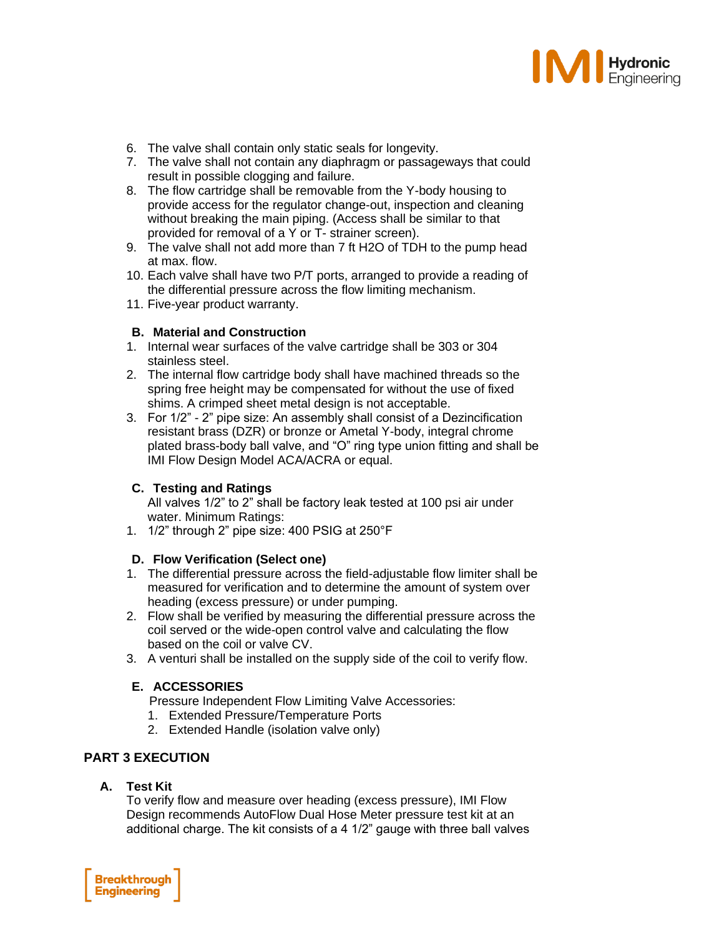

- 6. The valve shall contain only static seals for longevity.
- 7. The valve shall not contain any diaphragm or passageways that could result in possible clogging and failure.
- 8. The flow cartridge shall be removable from the Y-body housing to provide access for the regulator change-out, inspection and cleaning without breaking the main piping. (Access shall be similar to that provided for removal of a Y or T- strainer screen).
- 9. The valve shall not add more than 7 ft H2O of TDH to the pump head at max. flow.
- 10. Each valve shall have two P/T ports, arranged to provide a reading of the differential pressure across the flow limiting mechanism.
- 11. Five-year product warranty.

#### **B. Material and Construction**

- 1. Internal wear surfaces of the valve cartridge shall be 303 or 304 stainless steel.
- 2. The internal flow cartridge body shall have machined threads so the spring free height may be compensated for without the use of fixed shims. A crimped sheet metal design is not acceptable.
- 3. For 1/2" 2" pipe size: An assembly shall consist of a Dezincification resistant brass (DZR) or bronze or Ametal Y-body, integral chrome plated brass-body ball valve, and "O" ring type union fitting and shall be IMI Flow Design Model ACA/ACRA or equal.

# **C. Testing and Ratings**

All valves 1/2" to 2" shall be factory leak tested at 100 psi air under water. Minimum Ratings:

1. 1/2" through 2" pipe size: 400 PSIG at 250°F

#### **D. Flow Verification (Select one)**

- 1. The differential pressure across the field-adjustable flow limiter shall be measured for verification and to determine the amount of system over heading (excess pressure) or under pumping.
- 2. Flow shall be verified by measuring the differential pressure across the coil served or the wide-open control valve and calculating the flow based on the coil or valve CV.
- 3. A venturi shall be installed on the supply side of the coil to verify flow.

# **E. ACCESSORIES**

- Pressure Independent Flow Limiting Valve Accessories:
- 1. Extended Pressure/Temperature Ports
- 2. Extended Handle (isolation valve only)

# **PART 3 EXECUTION**

#### **A. Test Kit**

To verify flow and measure over heading (excess pressure), IMI Flow Design recommends AutoFlow Dual Hose Meter pressure test kit at an additional charge. The kit consists of a 4 1/2" gauge with three ball valves